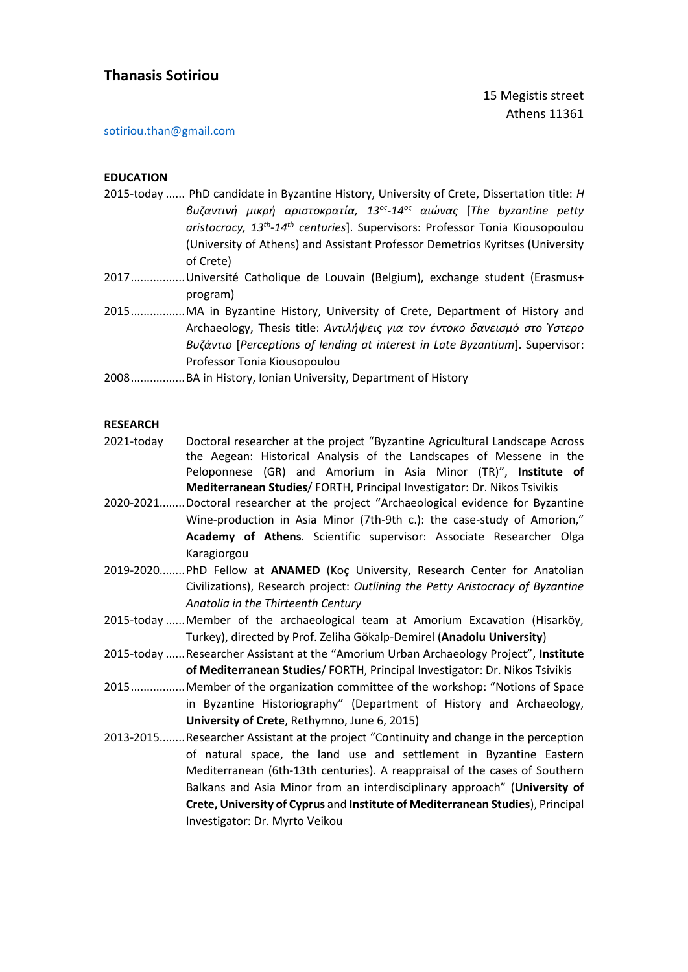# **Thanasis Sotiriou**

## [sotiriou.than@gmail.com](mailto:sotiriou.than@gmail.com)

| <b>EDUCATION</b> |                                                                                                                                                                                                                                                                                                                                                                                                                                            |
|------------------|--------------------------------------------------------------------------------------------------------------------------------------------------------------------------------------------------------------------------------------------------------------------------------------------------------------------------------------------------------------------------------------------------------------------------------------------|
|                  | 2015-today  PhD candidate in Byzantine History, University of Crete, Dissertation title: H                                                                                                                                                                                                                                                                                                                                                 |
|                  | βυζαντινή μικρή αριστοκρατία, 13 <sup>ος</sup> -14 <sup>ος</sup> αιώνας [The byzantine petty<br>aristocracy, 13 <sup>th</sup> -14 <sup>th</sup> centuries]. Supervisors: Professor Tonia Kiousopoulou<br>(University of Athens) and Assistant Professor Demetrios Kyritses (University<br>of Crete)                                                                                                                                        |
|                  | 2017Université Catholique de Louvain (Belgium), exchange student (Erasmus+                                                                                                                                                                                                                                                                                                                                                                 |
|                  | program)                                                                                                                                                                                                                                                                                                                                                                                                                                   |
|                  | 2015MA in Byzantine History, University of Crete, Department of History and                                                                                                                                                                                                                                                                                                                                                                |
|                  | Archaeology, Thesis title: Αντιλήψεις για τον έντοκο δανεισμό στο Ύστερο<br>Βυζάντιο [Perceptions of lending at interest in Late Byzantium]. Supervisor:<br>Professor Tonia Kiousopoulou                                                                                                                                                                                                                                                   |
|                  | 2008BA in History, Ionian University, Department of History                                                                                                                                                                                                                                                                                                                                                                                |
|                  |                                                                                                                                                                                                                                                                                                                                                                                                                                            |
| <b>RESEARCH</b>  |                                                                                                                                                                                                                                                                                                                                                                                                                                            |
| 2021-today       | Doctoral researcher at the project "Byzantine Agricultural Landscape Across<br>the Aegean: Historical Analysis of the Landscapes of Messene in the<br>Peloponnese (GR) and Amorium in Asia Minor (TR)", Institute of<br>Mediterranean Studies/ FORTH, Principal Investigator: Dr. Nikos Tsivikis                                                                                                                                           |
|                  | 2020-2021Doctoral researcher at the project "Archaeological evidence for Byzantine<br>Wine-production in Asia Minor (7th-9th c.): the case-study of Amorion,"<br>Academy of Athens. Scientific supervisor: Associate Researcher Olga<br>Karagiorgou                                                                                                                                                                                        |
|                  | 2019-2020 PhD Fellow at ANAMED (Koç University, Research Center for Anatolian<br>Civilizations), Research project: Outlining the Petty Aristocracy of Byzantine<br>Anatolia in the Thirteenth Century                                                                                                                                                                                                                                      |
|                  | 2015-today  Member of the archaeological team at Amorium Excavation (Hisarköy,<br>Turkey), directed by Prof. Zeliha Gökalp-Demirel (Anadolu University)                                                                                                                                                                                                                                                                                    |
|                  | 2015-today  Researcher Assistant at the "Amorium Urban Archaeology Project", Institute<br>of Mediterranean Studies/ FORTH, Principal Investigator: Dr. Nikos Tsivikis                                                                                                                                                                                                                                                                      |
|                  | 2015Member of the organization committee of the workshop: "Notions of Space<br>in Byzantine Historiography" (Department of History and Archaeology,<br>University of Crete, Rethymno, June 6, 2015)                                                                                                                                                                                                                                        |
|                  | 2013-2015Researcher Assistant at the project "Continuity and change in the perception<br>of natural space, the land use and settlement in Byzantine Eastern<br>Mediterranean (6th-13th centuries). A reappraisal of the cases of Southern<br>Balkans and Asia Minor from an interdisciplinary approach" (University of<br>Crete, University of Cyprus and Institute of Mediterranean Studies), Principal<br>Investigator: Dr. Myrto Veikou |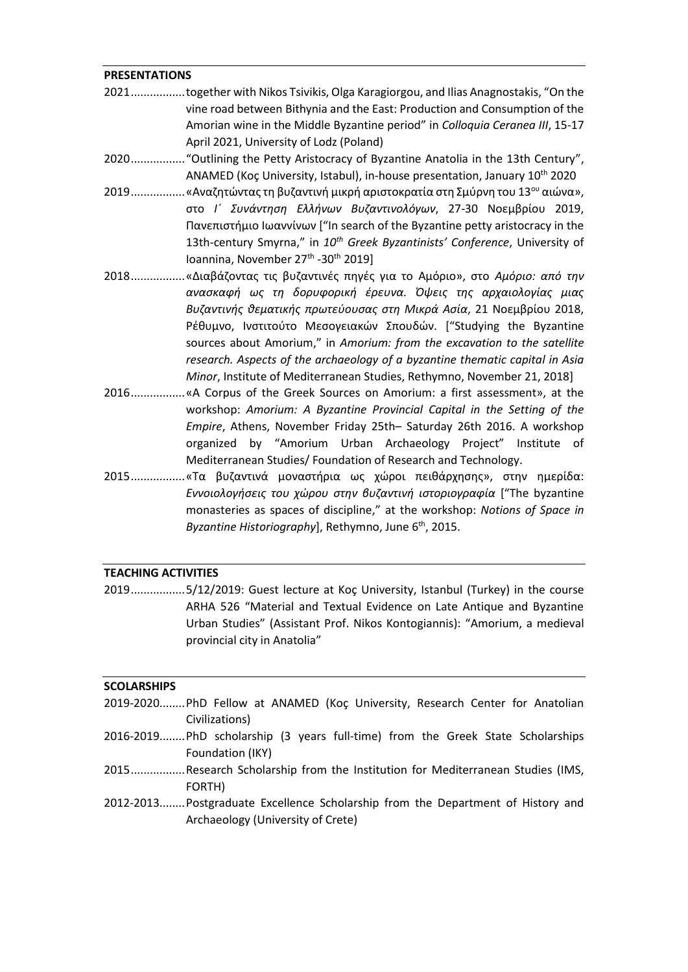#### **PRESENTATIONS**

- 2021.................together with Nikos Tsivikis, Olga Karagiorgou, and Ilias Anagnostakis, "On the vine road between Bithynia and the East: Production and Consumption of the Amorian wine in the Middle Byzantine period" in *Colloquia Ceranea III*, 15-17 April 2021, University of Lodz (Poland)
- 2020................."Outlining the Petty Aristocracy of Byzantine Anatolia in the 13th Century", ANAMED (Koç University, Istabul), in-house presentation, January 10<sup>th</sup> 2020
- 2019.................«Αναζητώντας τη βυζαντινή μικρή αριστοκρατία στη Σμύρνη του 13<sup>ου</sup> αιώνα», στο *Ι΄ Συνάντηση Ελλήνων Βυζαντινολόγων*, 27-30 Νοεμβρίου 2019, Πανεπιστήμιο Ιωαννίνων ["In search of the Byzantine petty aristocracy in the 13th-century Smyrna," in *10th Greek Byzantinists' Conference*, University of Ioannina, November 27<sup>th</sup> -30<sup>th</sup> 2019]
- 2018.................«Διαβάζοντας τις βυζαντινές πηγές για το Αμόριο», στο *Αμόριο: από την ανασκαφή ως τη δορυφορική έρευνα. Όψεις της αρχαιολογίας μιας Βυζαντινής θεματικής πρωτεύουσας στη Μικρά Ασία*, 21 Νοεμβρίου 2018, Ρέθυμνο, Ινστιτούτο Μεσογειακών Σπουδών. ["Studying the Byzantine sources about Amorium," in *Amorium: from the excavation to the satellite research. Aspects of the archaeology of a byzantine thematic capital in Asia Minor*, Institute of Mediterranean Studies, Rethymno, November 21, 2018]
- 2016.................«A Corpus of the Greek Sources on Amorium: a first assessment», at the workshop: *Amorium: A Byzantine Provincial Capital in the Setting of the Empire*, Athens, November Friday 25th– Saturday 26th 2016. A workshop organized by "Amorium Urban Archaeology Project" Institute of Mediterranean Studies/ Foundation of Research and Technology.
- 2015.................«Τα βυζαντινά μοναστήρια ως χώροι πειθάρχησης», στην ημερίδα: *Εννοιολογήσεις του χώρου στην βυζαντινή ιστοριογραφία* ["The byzantine monasteries as spaces of discipline," at the workshop: *Notions of Space in*  Byzantine Historiography], Rethymno, June 6<sup>th</sup>, 2015.

#### **TEACHING ACTIVITIES**

2019.................5/12/2019: Guest lecture at Koç University, Istanbul (Turkey) in the course ARHA 526 "Material and Textual Evidence on Late Antique and Byzantine Urban Studies" (Assistant Prof. Nikos Kontogiannis): "Amorium, a medieval provincial city in Anatolia"

#### **SCOLARSHIPS**

- 2019-2020........PhD Fellow at ANAMED (Koç University, Research Center for Anatolian Civilizations)
- 2016-2019........PhD scholarship (3 years full-time) from the Greek State Scholarships Foundation (IKY)
- 2015.................Research Scholarship from the Institution for Mediterranean Studies (IMS, FORTH)
- 2012-2013........Postgraduate Excellence Scholarship from the Department of History and Archaeology (University of Crete)